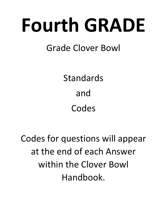# Fourth GRADE

# Grade Clover Bowl

Standards and Codes

Codes for questions will appear at the end of each Answer within the Clover Bowl Handbook.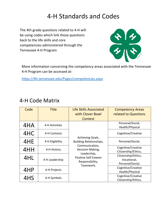# 4‐H Standards and Codes

The 4th grade questions related to 4‐H will be using codes which link those questions back to the life skills and core competencies administered through the Tennessee 4‐H Program



More information concerning the competency areas associated with the Tennessee 4‐H Program can be accessed at:

https://4h.tennessee.edu/Pages/competencies.aspx

| Code | <b>Title</b>    | <b>Life Skills Associated</b><br>with Clover Bowl             | <b>Competency Areas</b><br>related to Questions        |
|------|-----------------|---------------------------------------------------------------|--------------------------------------------------------|
|      |                 | Contest                                                       |                                                        |
| 4HA  | 4-H Activities  |                                                               | Personal/Social,<br>Health/Physical                    |
| 4HC  | 4-H Contests    |                                                               | Cognitive/Creative                                     |
| 4HE  | 4-H Eligibility | Achieving Goals,<br>Building Relationships,                   | Personal/Social,                                       |
| 4HH  | 4-H History     | Communication,<br>Decision Making,                            | Cognitive/Creative<br>Citizenship/Ethics,              |
| 4HL  | 4-H Leadership  | Leadership,<br><b>Positive Self Esteem</b><br>Responsibility, | Citizenship/Ethics,<br>Vocational,<br>Personal/Social, |
| 4HP  | 4-H Projects    | Teamwork,                                                     | Cognitive/Creative<br>Health/Physical                  |
| 4HS  | 4-H Symbols     |                                                               | Cognitive/Creative<br>Citizenship/Ethics,              |

#### 4‐H Code Matrix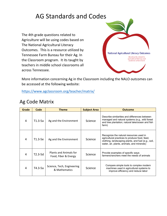# AG Standards and Codes

The 4th grade questions related to Agriculture will be using codes based on The National Agricultural Literacy Outcomes. This is a resource utilized by Tennessee Farm Bureau for their Ag. In the Classroom program. It its taught by teachers in middle school classrooms all across Tennessee.



More information concerning Ag in the Classroom including the NALO outcomes can be accessed at the following website:

https://www.agclassroom.org/teacher/matrix/

#### Ag Code Matrix

| Grade | Code      | <b>Theme</b>                                   | <b>Subject Area</b> | <b>Outcome</b>                                                                                                                                                                                |
|-------|-----------|------------------------------------------------|---------------------|-----------------------------------------------------------------------------------------------------------------------------------------------------------------------------------------------|
| 4     | T1.3-5a   | Ag and the Environment                         | Science             | Describe similarities and differences between<br>managed and natural systems (e.g., wild forest<br>and tree plantation; natural lake/ocean and fish<br>farm)                                  |
| 4     | T1.3-5e   | Ag and the Environment                         | Science             | Recognize the natural resources used in<br>agricultural practices to produce food, feed,<br>clothing, landscaping plants, and fuel (e.g., soil,<br>water, air, plants, animals, and minerals) |
| 4     | T2.3-5d   | Plants and Animals for<br>Food, Fiber & Energy | Science             | Provide examples of specific ways<br>farmers/ranchers meet the needs of animals                                                                                                               |
| 4     | $T4.3-5a$ | Science, Tech, Engineering<br>& Mathematics    | Science             | Compare simple tools to complex modern<br>machines used in agricultural systems to<br>improve efficiency and reduce labor                                                                     |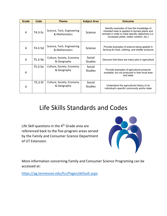| Grade          | Code      | <b>Theme</b>                                | <b>Subject Area</b>      | <b>Outcome</b>                                                                                                                                                                                    |
|----------------|-----------|---------------------------------------------|--------------------------|---------------------------------------------------------------------------------------------------------------------------------------------------------------------------------------------------|
| $\overline{4}$ | $T4.3-5c$ | Science, Tech, Engineering<br>& Mathematics | Science                  | Identify examples of how the knowledge of<br>inherited traits is applied to farmed plants and<br>animals in order to meet specific objectives (i.e.,<br>increased yields, better nutrition, etc.) |
| 4              | T4.3-5d   | Science, Tech, Engineering<br>& Mathematics | Science                  | Provide examples of science being applied in<br>farming for food, clothing, and shelter products                                                                                                  |
| 4              | $T5.3-5b$ | Culture, Society, Economy<br>& Geography    | Social<br><b>Studies</b> | Discover that there are many jobs in agriculture                                                                                                                                                  |
| 4              | T5.3-5e   | Culture, Society, Economy<br>& Geography    | Social<br><b>Studies</b> | Provide examples of agricultural products<br>available, but not produced in their local area<br>and state                                                                                         |
| 4              | $T5.3-5f$ | Culture, Society, Economy<br>& Geography    | Social<br><b>Studies</b> | Understand the agricultural history of an<br>individual's specific community and/or state                                                                                                         |

# Life Skills Standards and Codes

Life Skill questions in the 4<sup>th</sup> Grade area are referenced back to the five program areas served by the Family and Consumer Science Department of UT Extension.



More information concerning Family and Consumer Science Programing can be accessed at:

https://ag.tennessee.edu/fcs/Pages/default.aspx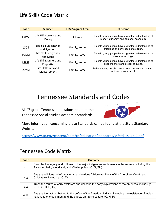#### Life Skills Code Matrix

| Code        | <b>Subject</b>                        | <b>FCS Program Area</b> | <b>Outcome</b>                                                                                  |
|-------------|---------------------------------------|-------------------------|-------------------------------------------------------------------------------------------------|
| <b>LSCM</b> | Life Skill Currency and<br>Money      | Money                   | To help young people have a greater understanding of<br>money, currency, and personal economics |
| <b>LSCS</b> | Life Skill Citizenship<br>and Symbols | Family/Home             | To help young people have a greater understanding of<br>traditions and privileges of a citizen. |
| LSGM        | Life Skill Geography<br>and Maps      | Family/Home             | To help young people have a greater understanding of<br>their surroundings.                     |
| <b>LSME</b> | Life Skill Manners and<br>Etiquette   | Family/Home             | To help young people have a greater understanding of<br>good manners and proper etiquette.      |
| LSMM        | Life Skill Units and<br>Measurement   | Family/Home             | To help young people have a better understand common<br>units of measurement.                   |

### Tennessee Standards and Codes

All 4<sup>th</sup> grade Tennessee questions relate to the Tennessee Social Studies Academic Standards.



More information concerning these Standards can be found at the State Standard Website:

https://www.tn.gov/content/dam/tn/education/standards/ss/std\_ss\_gr\_4.pdf

#### Tennessee Code Matrix

| Code | <b>Outcome</b>                                                                                                                                                                 |
|------|--------------------------------------------------------------------------------------------------------------------------------------------------------------------------------|
| 4.1  | Describe the legacy and cultures of the major indigenous settlements in Tennessee including the<br>Paleo, Archaic, Woodland, and Mississippian: (C, G, TN)                     |
| 4.2  | Analyze religious beliefs, customs, and various folklore traditions of the Cherokee, Creek, and<br>Chickasaw, including: (C, TN)                                               |
| 4.4  | Trace the routes of early explorers and describe the early explorations of the Americas, including:<br>(C, E, G, H, P, TN)                                                     |
| 4.12 | Analyze the factors that led to the defeat of the American Indians, including the resistance of Indian<br>nations to encroachment and the effects on native culture. (C, H, P) |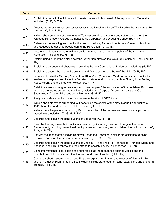| <b>Code</b> | <b>Outcome</b>                                                                                                                                                                                                                                                   |
|-------------|------------------------------------------------------------------------------------------------------------------------------------------------------------------------------------------------------------------------------------------------------------------|
| 4.20        | Explain the impact of individuals who created interest in land west of the Appalachian Mountains,<br>including: (C, E, G, TN)                                                                                                                                    |
| 4.22        | Describe the causes, course, and consequences of the French and Indian War, including the massacre at Fort<br>Loudoun. (C, G, H, P, TN)                                                                                                                          |
| 4.25        | Write a short summary of the events of Tennessee's first settlement and settlers, including the<br>Watauga Purchase, Watauga Compact, Little Carpenter, and Dragging Canoe. (H, P, TN)                                                                           |
| 4.30        | Determine the meaning and identify the terms Loyalists, Patriots, Minutemen, Overmountain Men,<br>and Redcoats to describe people during the Revolution. (C, G, TN)                                                                                              |
| 4.31        | Locate and identify the major military battles, campaigns, and turning points of the American<br>Revolution, including: (G, H, TN)                                                                                                                               |
| 4.34        | Explain using supporting details how the Revolution affected the Watauga Settlement, including: (P,<br>TN)                                                                                                                                                       |
| 4.36        | Explain the purpose and obstacles in creating the new Cumberland Settlement, including: (G, TN)                                                                                                                                                                  |
| 4.38        | Explain the events that led to the creation and failure of the Lost State of Franklin. (G, P, TN)                                                                                                                                                                |
| 4.45        | Label and locate the Territory South of the River Ohio (Southwest Territory) on a map, identify its<br>leaders, and explain how it was the first step to statehood, including William Blount, John Sevier,<br>Rocky Mount, and the Treaty of Holston. (G, P, TN) |
| 4.47        | Detail the events, struggles, success and main people of the exploration of the Louisiana Purchase<br>and map the routes across the continent, including the Corps of Discovery, Lewis and Clark,<br>Sacagawea, Zebulon Pike, and John Frémont. (G, H, P)        |
| 4.51        | Analyze and describe the role of Tennessee in the War of 1812, including: (H, TN)                                                                                                                                                                                |
| 4.52        | Write a short story with supporting text describing the effects of the New Madrid Earthquakes of<br>1811-12 on the land and people of Tennessee. (G, H, TN)                                                                                                      |
| 4.53        | Write a narrative piece summarizing life on the frontier of Tennessee and reasons why pioneers<br>moved west, including: (C, G, H, P, TN)                                                                                                                        |
| 4.54        | Describe and explain the contributions of Sequoyah. (C, H, TN)                                                                                                                                                                                                   |
| 4.55        | Describe the major events in Jackson's presidency, including the corrupt bargain, the Indian<br>Removal Act, reducing the national debt, preserving the union, and abolishing the national bank. (C,<br>E, G, H, P, TN                                           |
| 4.56        | Analyze the impact of the Indian Removal Act on the Cherokee, detail their resistance to being<br>removed, and map the movement west, including: (C, G, H, TN)                                                                                                   |
| 4.60        | Describe and explain the contributions of Virginia Hill and Free Hill, Tennessee, Frances Wright and<br>Nashoba, and Elihu Embree and their efforts to abolish slavery in Tennessee. (C, TN)                                                                     |
| 4.62        | Using informational texts, explain the fight for Texas independence against Mexico and the<br>contributions of Tennesseans Sam Houston and David Crockett. (H, P, TN)                                                                                            |
| 4.63        | Conduct a short research project detailing the surprise nomination and election of James K. Polk<br>and list his accomplishments in office including Texas statehood, territorial expansion, and one term<br>promise. (H, P, TN)                                 |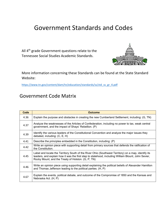## Government Standards and Codes

All 4<sup>th</sup> grade Government questions relate to the Tennessee Social Studies Academic Standards.



More information concerning these Standards can be found at the State Standard Website:

https://www.tn.gov/content/dam/tn/education/standards/ss/std\_ss\_gr\_4.pdf

#### Government Code Matrix

| Code | <b>Outcome</b>                                                                                                                                                                                                                                                   |
|------|------------------------------------------------------------------------------------------------------------------------------------------------------------------------------------------------------------------------------------------------------------------|
| 4.36 | Explain the purpose and obstacles in creating the new Cumberland Settlement, including: (G, TN)                                                                                                                                                                  |
| 4.37 | Analyze the weaknesses of the Articles of Confederation, including no power to tax, weak central<br>government, and the impact of Shays' Rebellion. (P)                                                                                                          |
| 4.39 | Identify the various leaders of the Constitutional Convention and analyze the major issues they<br>debated, including: (C, E, H)                                                                                                                                 |
| 4.41 | Describe the principles embedded in the Constitution, including: (P)                                                                                                                                                                                             |
| 4.42 | Write an opinion piece with supporting detail from primary sources that defends the ratification of<br>the Constitution.                                                                                                                                         |
| 4.45 | Label and locate the Territory South of the River Ohio (Southwest Territory) on a map, identify its<br>leaders, and explain how it was the first step to statehood, including William Blount, John Sevier,<br>Rocky Mount, and the Treaty of Holston. (G, P, TN) |
| 4.46 | Write an opinion piece using supporting detail explaining the political beliefs of Alexander Hamilton<br>and Thomas Jefferson leading to the political parties. (H, P)                                                                                           |
| 4.67 | Explain the events, political debate, and outcome of the Compromise of 1850 and the Kansas and<br>Nebraska Act. (H, P)                                                                                                                                           |